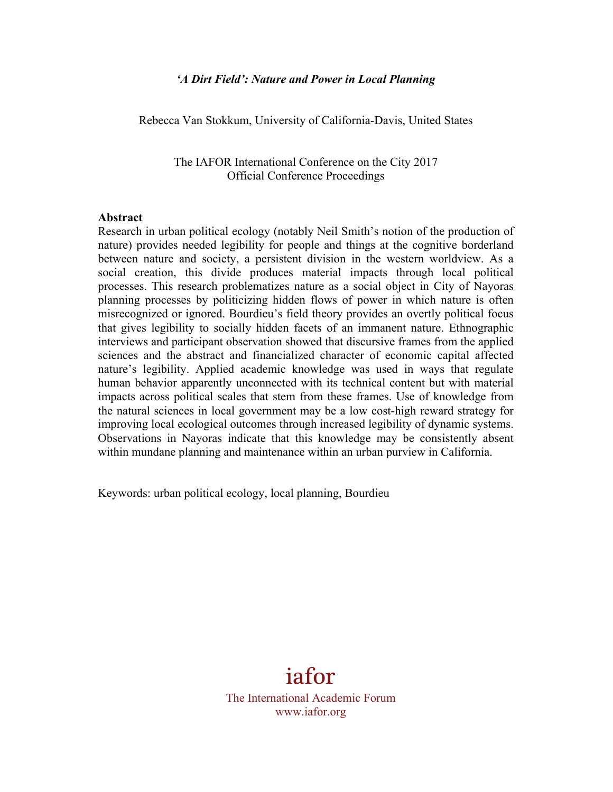#### *'A Dirt Field': Nature and Power in Local Planning*

Rebecca Van Stokkum, University of California-Davis, United States

The IAFOR International Conference on the City 2017 Official Conference Proceedings

#### **Abstract**

Research in urban political ecology (notably Neil Smith's notion of the production of nature) provides needed legibility for people and things at the cognitive borderland between nature and society, a persistent division in the western worldview. As a social creation, this divide produces material impacts through local political processes. This research problematizes nature as a social object in City of Nayoras planning processes by politicizing hidden flows of power in which nature is often misrecognized or ignored. Bourdieu's field theory provides an overtly political focus that gives legibility to socially hidden facets of an immanent nature. Ethnographic interviews and participant observation showed that discursive frames from the applied sciences and the abstract and financialized character of economic capital affected nature's legibility. Applied academic knowledge was used in ways that regulate human behavior apparently unconnected with its technical content but with material impacts across political scales that stem from these frames. Use of knowledge from the natural sciences in local government may be a low cost-high reward strategy for improving local ecological outcomes through increased legibility of dynamic systems. Observations in Nayoras indicate that this knowledge may be consistently absent within mundane planning and maintenance within an urban purview in California.

Keywords: urban political ecology, local planning, Bourdieu

# iafor The International Academic Forum www.iafor.org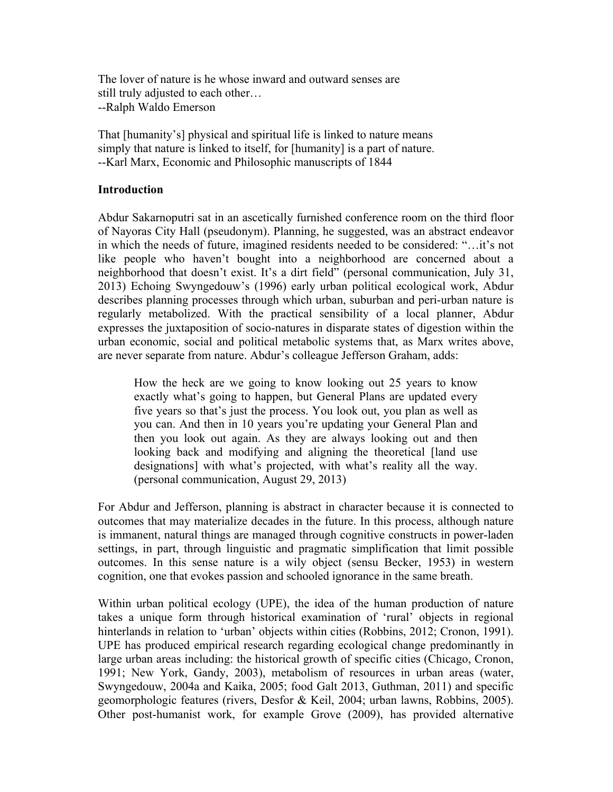The lover of nature is he whose inward and outward senses are still truly adjusted to each other… --Ralph Waldo Emerson

That [humanity's] physical and spiritual life is linked to nature means simply that nature is linked to itself, for [humanity] is a part of nature. --Karl Marx, Economic and Philosophic manuscripts of 1844

#### **Introduction**

Abdur Sakarnoputri sat in an ascetically furnished conference room on the third floor of Nayoras City Hall (pseudonym). Planning, he suggested, was an abstract endeavor in which the needs of future, imagined residents needed to be considered: "…it's not like people who haven't bought into a neighborhood are concerned about a neighborhood that doesn't exist. It's a dirt field" (personal communication, July 31, 2013) Echoing Swyngedouw's (1996) early urban political ecological work, Abdur describes planning processes through which urban, suburban and peri-urban nature is regularly metabolized. With the practical sensibility of a local planner, Abdur expresses the juxtaposition of socio-natures in disparate states of digestion within the urban economic, social and political metabolic systems that, as Marx writes above, are never separate from nature. Abdur's colleague Jefferson Graham, adds:

How the heck are we going to know looking out 25 years to know exactly what's going to happen, but General Plans are updated every five years so that's just the process. You look out, you plan as well as you can. And then in 10 years you're updating your General Plan and then you look out again. As they are always looking out and then looking back and modifying and aligning the theoretical [land use designations] with what's projected, with what's reality all the way. (personal communication, August 29, 2013)

For Abdur and Jefferson, planning is abstract in character because it is connected to outcomes that may materialize decades in the future. In this process, although nature is immanent, natural things are managed through cognitive constructs in power-laden settings, in part, through linguistic and pragmatic simplification that limit possible outcomes. In this sense nature is a wily object (sensu Becker, 1953) in western cognition, one that evokes passion and schooled ignorance in the same breath.

Within urban political ecology (UPE), the idea of the human production of nature takes a unique form through historical examination of 'rural' objects in regional hinterlands in relation to 'urban' objects within cities (Robbins, 2012; Cronon, 1991). UPE has produced empirical research regarding ecological change predominantly in large urban areas including: the historical growth of specific cities (Chicago, Cronon, 1991; New York, Gandy, 2003), metabolism of resources in urban areas (water, Swyngedouw, 2004a and Kaika, 2005; food Galt 2013, Guthman, 2011) and specific geomorphologic features (rivers, Desfor & Keil, 2004; urban lawns, Robbins, 2005). Other post-humanist work, for example Grove (2009), has provided alternative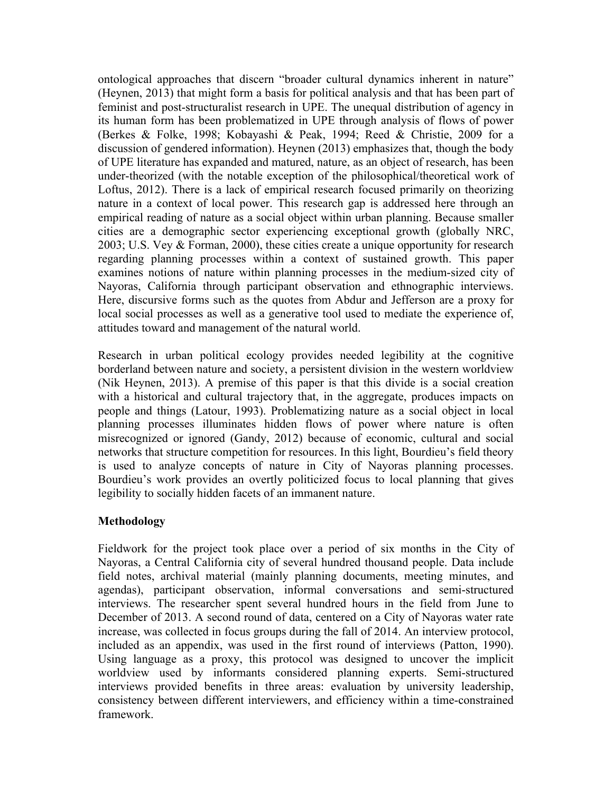ontological approaches that discern "broader cultural dynamics inherent in nature" (Heynen, 2013) that might form a basis for political analysis and that has been part of feminist and post-structuralist research in UPE. The unequal distribution of agency in its human form has been problematized in UPE through analysis of flows of power (Berkes & Folke, 1998; Kobayashi & Peak, 1994; Reed & Christie, 2009 for a discussion of gendered information). Heynen (2013) emphasizes that, though the body of UPE literature has expanded and matured, nature, as an object of research, has been under-theorized (with the notable exception of the philosophical/theoretical work of Loftus, 2012). There is a lack of empirical research focused primarily on theorizing nature in a context of local power. This research gap is addressed here through an empirical reading of nature as a social object within urban planning. Because smaller cities are a demographic sector experiencing exceptional growth (globally NRC, 2003; U.S. Vey & Forman, 2000), these cities create a unique opportunity for research regarding planning processes within a context of sustained growth. This paper examines notions of nature within planning processes in the medium-sized city of Nayoras, California through participant observation and ethnographic interviews. Here, discursive forms such as the quotes from Abdur and Jefferson are a proxy for local social processes as well as a generative tool used to mediate the experience of, attitudes toward and management of the natural world.

Research in urban political ecology provides needed legibility at the cognitive borderland between nature and society, a persistent division in the western worldview (Nik Heynen, 2013). A premise of this paper is that this divide is a social creation with a historical and cultural trajectory that, in the aggregate, produces impacts on people and things (Latour, 1993). Problematizing nature as a social object in local planning processes illuminates hidden flows of power where nature is often misrecognized or ignored (Gandy, 2012) because of economic, cultural and social networks that structure competition for resources. In this light, Bourdieu's field theory is used to analyze concepts of nature in City of Nayoras planning processes. Bourdieu's work provides an overtly politicized focus to local planning that gives legibility to socially hidden facets of an immanent nature.

# **Methodology**

Fieldwork for the project took place over a period of six months in the City of Nayoras, a Central California city of several hundred thousand people. Data include field notes, archival material (mainly planning documents, meeting minutes, and agendas), participant observation, informal conversations and semi-structured interviews. The researcher spent several hundred hours in the field from June to December of 2013. A second round of data, centered on a City of Nayoras water rate increase, was collected in focus groups during the fall of 2014. An interview protocol, included as an appendix, was used in the first round of interviews (Patton, 1990). Using language as a proxy, this protocol was designed to uncover the implicit worldview used by informants considered planning experts. Semi-structured interviews provided benefits in three areas: evaluation by university leadership, consistency between different interviewers, and efficiency within a time-constrained framework.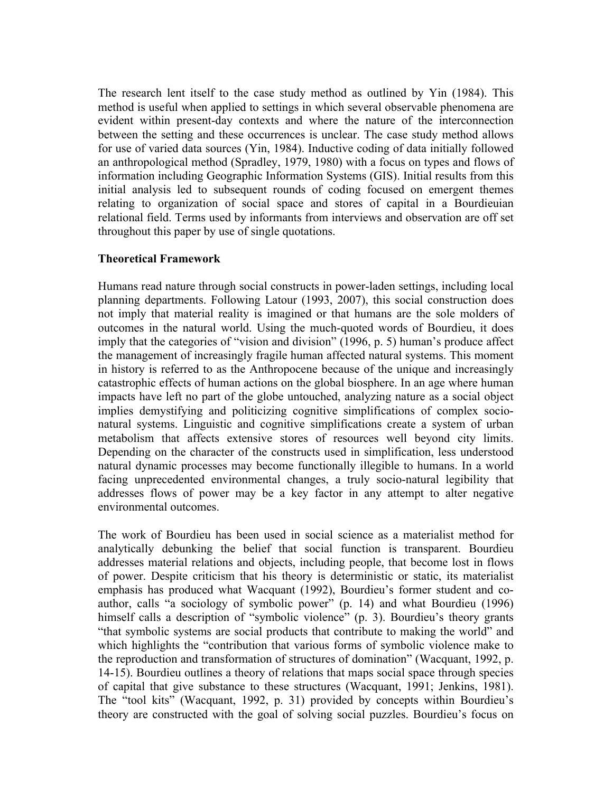The research lent itself to the case study method as outlined by Yin (1984). This method is useful when applied to settings in which several observable phenomena are evident within present-day contexts and where the nature of the interconnection between the setting and these occurrences is unclear. The case study method allows for use of varied data sources (Yin, 1984). Inductive coding of data initially followed an anthropological method (Spradley, 1979, 1980) with a focus on types and flows of information including Geographic Information Systems (GIS). Initial results from this initial analysis led to subsequent rounds of coding focused on emergent themes relating to organization of social space and stores of capital in a Bourdieuian relational field. Terms used by informants from interviews and observation are off set throughout this paper by use of single quotations.

## **Theoretical Framework**

Humans read nature through social constructs in power-laden settings, including local planning departments. Following Latour (1993, 2007), this social construction does not imply that material reality is imagined or that humans are the sole molders of outcomes in the natural world. Using the much-quoted words of Bourdieu, it does imply that the categories of "vision and division" (1996, p. 5) human's produce affect the management of increasingly fragile human affected natural systems. This moment in history is referred to as the Anthropocene because of the unique and increasingly catastrophic effects of human actions on the global biosphere. In an age where human impacts have left no part of the globe untouched, analyzing nature as a social object implies demystifying and politicizing cognitive simplifications of complex socionatural systems. Linguistic and cognitive simplifications create a system of urban metabolism that affects extensive stores of resources well beyond city limits. Depending on the character of the constructs used in simplification, less understood natural dynamic processes may become functionally illegible to humans. In a world facing unprecedented environmental changes, a truly socio-natural legibility that addresses flows of power may be a key factor in any attempt to alter negative environmental outcomes.

The work of Bourdieu has been used in social science as a materialist method for analytically debunking the belief that social function is transparent. Bourdieu addresses material relations and objects, including people, that become lost in flows of power. Despite criticism that his theory is deterministic or static, its materialist emphasis has produced what Wacquant (1992), Bourdieu's former student and coauthor, calls "a sociology of symbolic power" (p. 14) and what Bourdieu (1996) himself calls a description of "symbolic violence" (p. 3). Bourdieu's theory grants "that symbolic systems are social products that contribute to making the world" and which highlights the "contribution that various forms of symbolic violence make to the reproduction and transformation of structures of domination" (Wacquant, 1992, p. 14-15). Bourdieu outlines a theory of relations that maps social space through species of capital that give substance to these structures (Wacquant, 1991; Jenkins, 1981). The "tool kits" (Wacquant, 1992, p. 31) provided by concepts within Bourdieu's theory are constructed with the goal of solving social puzzles. Bourdieu's focus on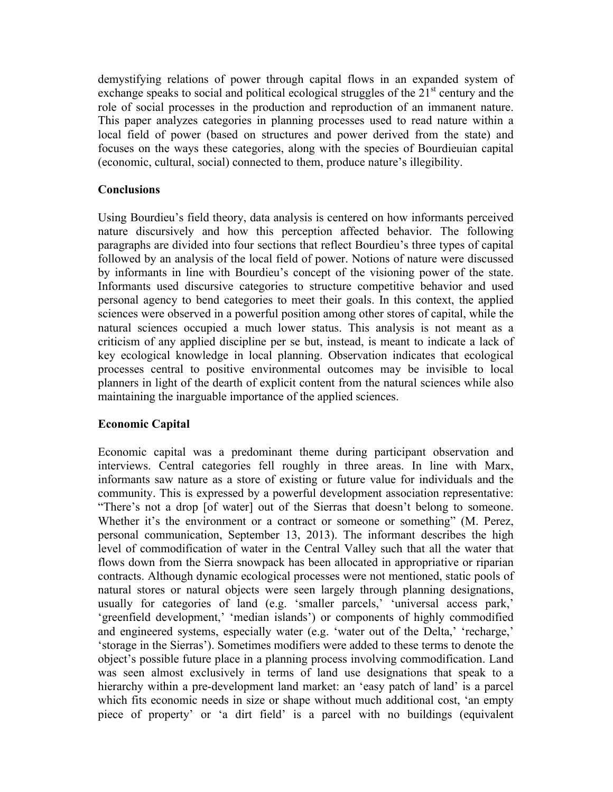demystifying relations of power through capital flows in an expanded system of exchange speaks to social and political ecological struggles of the  $21<sup>st</sup>$  century and the role of social processes in the production and reproduction of an immanent nature. This paper analyzes categories in planning processes used to read nature within a local field of power (based on structures and power derived from the state) and focuses on the ways these categories, along with the species of Bourdieuian capital (economic, cultural, social) connected to them, produce nature's illegibility.

## **Conclusions**

Using Bourdieu's field theory, data analysis is centered on how informants perceived nature discursively and how this perception affected behavior. The following paragraphs are divided into four sections that reflect Bourdieu's three types of capital followed by an analysis of the local field of power. Notions of nature were discussed by informants in line with Bourdieu's concept of the visioning power of the state. Informants used discursive categories to structure competitive behavior and used personal agency to bend categories to meet their goals. In this context, the applied sciences were observed in a powerful position among other stores of capital, while the natural sciences occupied a much lower status. This analysis is not meant as a criticism of any applied discipline per se but, instead, is meant to indicate a lack of key ecological knowledge in local planning. Observation indicates that ecological processes central to positive environmental outcomes may be invisible to local planners in light of the dearth of explicit content from the natural sciences while also maintaining the inarguable importance of the applied sciences.

# **Economic Capital**

Economic capital was a predominant theme during participant observation and interviews. Central categories fell roughly in three areas. In line with Marx, informants saw nature as a store of existing or future value for individuals and the community. This is expressed by a powerful development association representative: "There's not a drop [of water] out of the Sierras that doesn't belong to someone. Whether it's the environment or a contract or someone or something" (M. Perez, personal communication, September 13, 2013). The informant describes the high level of commodification of water in the Central Valley such that all the water that flows down from the Sierra snowpack has been allocated in appropriative or riparian contracts. Although dynamic ecological processes were not mentioned, static pools of natural stores or natural objects were seen largely through planning designations, usually for categories of land (e.g. 'smaller parcels,' 'universal access park,' 'greenfield development,' 'median islands') or components of highly commodified and engineered systems, especially water (e.g. 'water out of the Delta,' 'recharge,' 'storage in the Sierras'). Sometimes modifiers were added to these terms to denote the object's possible future place in a planning process involving commodification. Land was seen almost exclusively in terms of land use designations that speak to a hierarchy within a pre-development land market: an 'easy patch of land' is a parcel which fits economic needs in size or shape without much additional cost, 'an empty piece of property' or 'a dirt field' is a parcel with no buildings (equivalent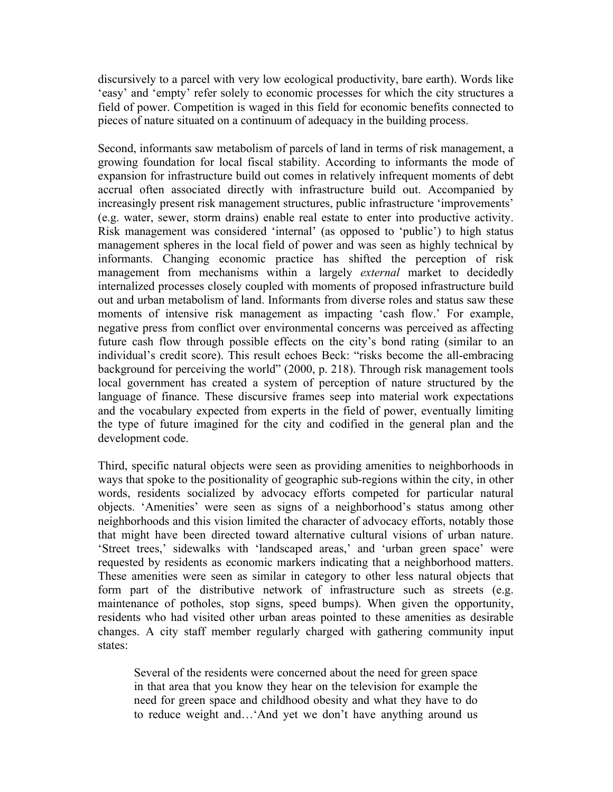discursively to a parcel with very low ecological productivity, bare earth). Words like 'easy' and 'empty' refer solely to economic processes for which the city structures a field of power. Competition is waged in this field for economic benefits connected to pieces of nature situated on a continuum of adequacy in the building process.

Second, informants saw metabolism of parcels of land in terms of risk management, a growing foundation for local fiscal stability. According to informants the mode of expansion for infrastructure build out comes in relatively infrequent moments of debt accrual often associated directly with infrastructure build out. Accompanied by increasingly present risk management structures, public infrastructure 'improvements' (e.g. water, sewer, storm drains) enable real estate to enter into productive activity. Risk management was considered 'internal' (as opposed to 'public') to high status management spheres in the local field of power and was seen as highly technical by informants. Changing economic practice has shifted the perception of risk management from mechanisms within a largely *external* market to decidedly internalized processes closely coupled with moments of proposed infrastructure build out and urban metabolism of land. Informants from diverse roles and status saw these moments of intensive risk management as impacting 'cash flow.' For example, negative press from conflict over environmental concerns was perceived as affecting future cash flow through possible effects on the city's bond rating (similar to an individual's credit score). This result echoes Beck: "risks become the all-embracing background for perceiving the world" (2000, p. 218). Through risk management tools local government has created a system of perception of nature structured by the language of finance. These discursive frames seep into material work expectations and the vocabulary expected from experts in the field of power, eventually limiting the type of future imagined for the city and codified in the general plan and the development code.

Third, specific natural objects were seen as providing amenities to neighborhoods in ways that spoke to the positionality of geographic sub-regions within the city, in other words, residents socialized by advocacy efforts competed for particular natural objects. 'Amenities' were seen as signs of a neighborhood's status among other neighborhoods and this vision limited the character of advocacy efforts, notably those that might have been directed toward alternative cultural visions of urban nature. 'Street trees,' sidewalks with 'landscaped areas,' and 'urban green space' were requested by residents as economic markers indicating that a neighborhood matters. These amenities were seen as similar in category to other less natural objects that form part of the distributive network of infrastructure such as streets (e.g. maintenance of potholes, stop signs, speed bumps). When given the opportunity, residents who had visited other urban areas pointed to these amenities as desirable changes. A city staff member regularly charged with gathering community input states:

Several of the residents were concerned about the need for green space in that area that you know they hear on the television for example the need for green space and childhood obesity and what they have to do to reduce weight and…'And yet we don't have anything around us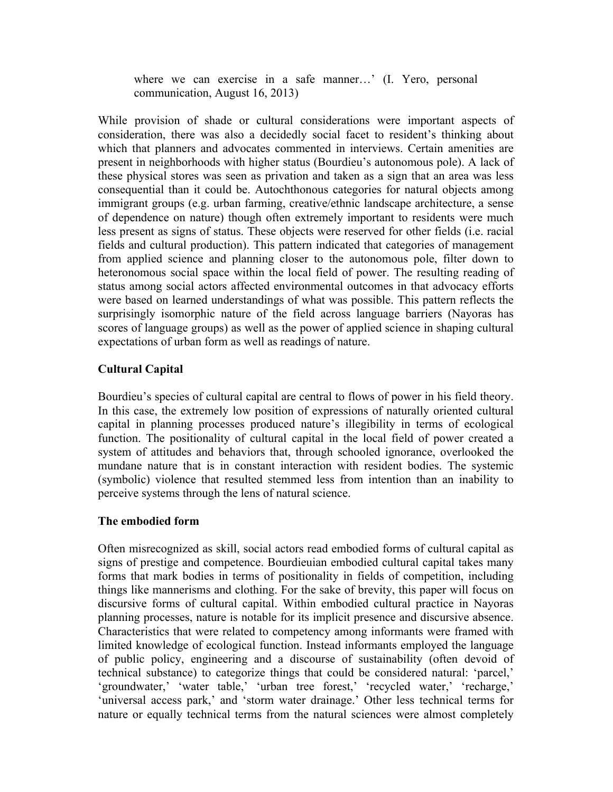where we can exercise in a safe manner…' (I. Yero, personal communication, August 16, 2013)

While provision of shade or cultural considerations were important aspects of consideration, there was also a decidedly social facet to resident's thinking about which that planners and advocates commented in interviews. Certain amenities are present in neighborhoods with higher status (Bourdieu's autonomous pole). A lack of these physical stores was seen as privation and taken as a sign that an area was less consequential than it could be. Autochthonous categories for natural objects among immigrant groups (e.g. urban farming, creative/ethnic landscape architecture, a sense of dependence on nature) though often extremely important to residents were much less present as signs of status. These objects were reserved for other fields (i.e. racial fields and cultural production). This pattern indicated that categories of management from applied science and planning closer to the autonomous pole, filter down to heteronomous social space within the local field of power. The resulting reading of status among social actors affected environmental outcomes in that advocacy efforts were based on learned understandings of what was possible. This pattern reflects the surprisingly isomorphic nature of the field across language barriers (Nayoras has scores of language groups) as well as the power of applied science in shaping cultural expectations of urban form as well as readings of nature.

# **Cultural Capital**

Bourdieu's species of cultural capital are central to flows of power in his field theory. In this case, the extremely low position of expressions of naturally oriented cultural capital in planning processes produced nature's illegibility in terms of ecological function. The positionality of cultural capital in the local field of power created a system of attitudes and behaviors that, through schooled ignorance, overlooked the mundane nature that is in constant interaction with resident bodies. The systemic (symbolic) violence that resulted stemmed less from intention than an inability to perceive systems through the lens of natural science.

#### **The embodied form**

Often misrecognized as skill, social actors read embodied forms of cultural capital as signs of prestige and competence. Bourdieuian embodied cultural capital takes many forms that mark bodies in terms of positionality in fields of competition, including things like mannerisms and clothing. For the sake of brevity, this paper will focus on discursive forms of cultural capital. Within embodied cultural practice in Nayoras planning processes, nature is notable for its implicit presence and discursive absence. Characteristics that were related to competency among informants were framed with limited knowledge of ecological function. Instead informants employed the language of public policy, engineering and a discourse of sustainability (often devoid of technical substance) to categorize things that could be considered natural: 'parcel,' 'groundwater,' 'water table,' 'urban tree forest,' 'recycled water,' 'recharge,' 'universal access park,' and 'storm water drainage.' Other less technical terms for nature or equally technical terms from the natural sciences were almost completely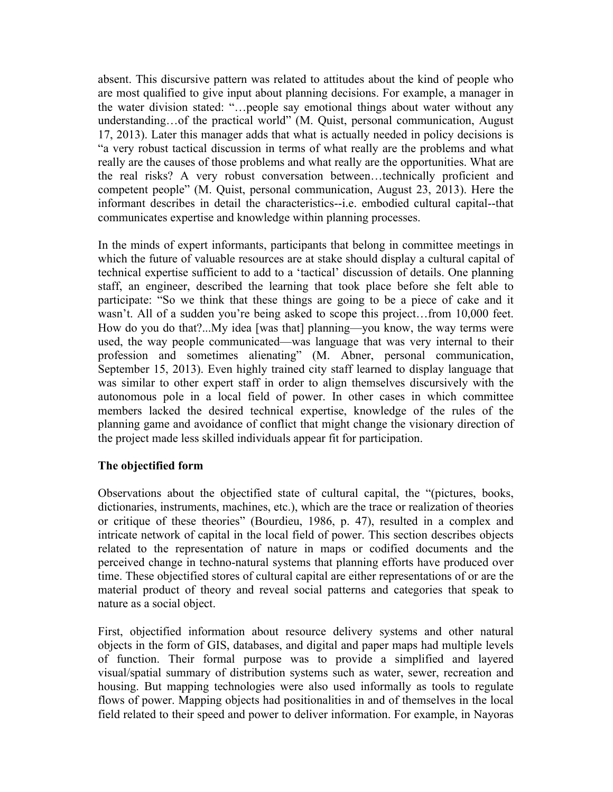absent. This discursive pattern was related to attitudes about the kind of people who are most qualified to give input about planning decisions. For example, a manager in the water division stated: "…people say emotional things about water without any understanding…of the practical world" (M. Quist, personal communication, August 17, 2013). Later this manager adds that what is actually needed in policy decisions is "a very robust tactical discussion in terms of what really are the problems and what really are the causes of those problems and what really are the opportunities. What are the real risks? A very robust conversation between…technically proficient and competent people" (M. Quist, personal communication, August 23, 2013). Here the informant describes in detail the characteristics--i.e. embodied cultural capital--that communicates expertise and knowledge within planning processes.

In the minds of expert informants, participants that belong in committee meetings in which the future of valuable resources are at stake should display a cultural capital of technical expertise sufficient to add to a 'tactical' discussion of details. One planning staff, an engineer, described the learning that took place before she felt able to participate: "So we think that these things are going to be a piece of cake and it wasn't. All of a sudden you're being asked to scope this project...from 10,000 feet. How do you do that?...My idea [was that] planning—you know, the way terms were used, the way people communicated—was language that was very internal to their profession and sometimes alienating" (M. Abner, personal communication, September 15, 2013). Even highly trained city staff learned to display language that was similar to other expert staff in order to align themselves discursively with the autonomous pole in a local field of power. In other cases in which committee members lacked the desired technical expertise, knowledge of the rules of the planning game and avoidance of conflict that might change the visionary direction of the project made less skilled individuals appear fit for participation.

# **The objectified form**

Observations about the objectified state of cultural capital, the "(pictures, books, dictionaries, instruments, machines, etc.), which are the trace or realization of theories or critique of these theories" (Bourdieu, 1986, p. 47), resulted in a complex and intricate network of capital in the local field of power. This section describes objects related to the representation of nature in maps or codified documents and the perceived change in techno-natural systems that planning efforts have produced over time. These objectified stores of cultural capital are either representations of or are the material product of theory and reveal social patterns and categories that speak to nature as a social object.

First, objectified information about resource delivery systems and other natural objects in the form of GIS, databases, and digital and paper maps had multiple levels of function. Their formal purpose was to provide a simplified and layered visual/spatial summary of distribution systems such as water, sewer, recreation and housing. But mapping technologies were also used informally as tools to regulate flows of power. Mapping objects had positionalities in and of themselves in the local field related to their speed and power to deliver information. For example, in Nayoras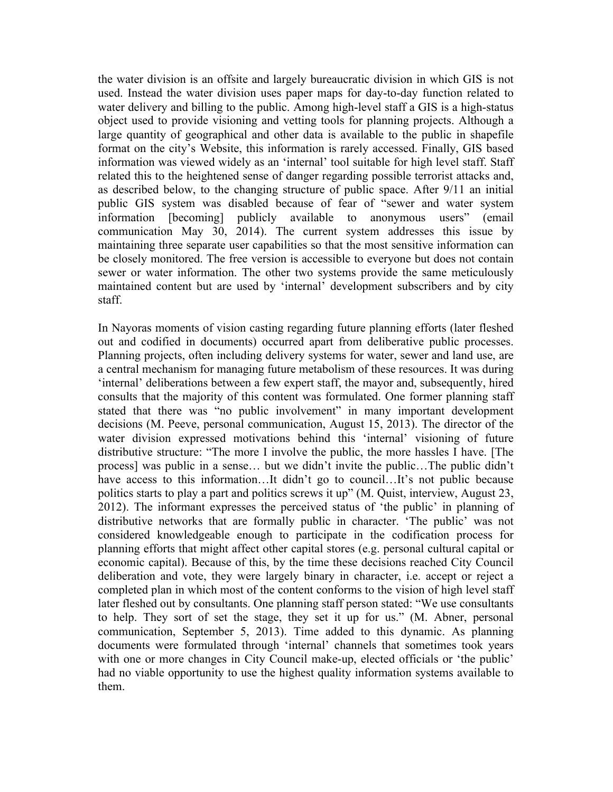the water division is an offsite and largely bureaucratic division in which GIS is not used. Instead the water division uses paper maps for day-to-day function related to water delivery and billing to the public. Among high-level staff a GIS is a high-status object used to provide visioning and vetting tools for planning projects. Although a large quantity of geographical and other data is available to the public in shapefile format on the city's Website, this information is rarely accessed. Finally, GIS based information was viewed widely as an 'internal' tool suitable for high level staff. Staff related this to the heightened sense of danger regarding possible terrorist attacks and, as described below, to the changing structure of public space. After 9/11 an initial public GIS system was disabled because of fear of "sewer and water system information [becoming] publicly available to anonymous users" (email communication May 30, 2014). The current system addresses this issue by maintaining three separate user capabilities so that the most sensitive information can be closely monitored. The free version is accessible to everyone but does not contain sewer or water information. The other two systems provide the same meticulously maintained content but are used by 'internal' development subscribers and by city staff.

In Nayoras moments of vision casting regarding future planning efforts (later fleshed out and codified in documents) occurred apart from deliberative public processes. Planning projects, often including delivery systems for water, sewer and land use, are a central mechanism for managing future metabolism of these resources. It was during 'internal' deliberations between a few expert staff, the mayor and, subsequently, hired consults that the majority of this content was formulated. One former planning staff stated that there was "no public involvement" in many important development decisions (M. Peeve, personal communication, August 15, 2013). The director of the water division expressed motivations behind this 'internal' visioning of future distributive structure: "The more I involve the public, the more hassles I have. [The process] was public in a sense… but we didn't invite the public…The public didn't have access to this information...It didn't go to council...It's not public because politics starts to play a part and politics screws it up" (M. Quist, interview, August 23, 2012). The informant expresses the perceived status of 'the public' in planning of distributive networks that are formally public in character. 'The public' was not considered knowledgeable enough to participate in the codification process for planning efforts that might affect other capital stores (e.g. personal cultural capital or economic capital). Because of this, by the time these decisions reached City Council deliberation and vote, they were largely binary in character, i.e. accept or reject a completed plan in which most of the content conforms to the vision of high level staff later fleshed out by consultants. One planning staff person stated: "We use consultants to help. They sort of set the stage, they set it up for us." (M. Abner, personal communication, September 5, 2013). Time added to this dynamic. As planning documents were formulated through 'internal' channels that sometimes took years with one or more changes in City Council make-up, elected officials or 'the public' had no viable opportunity to use the highest quality information systems available to them.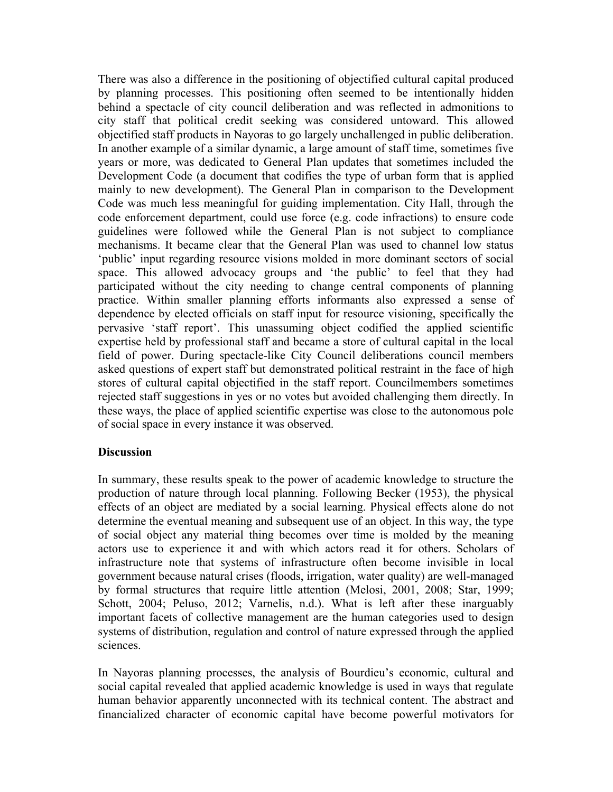There was also a difference in the positioning of objectified cultural capital produced by planning processes. This positioning often seemed to be intentionally hidden behind a spectacle of city council deliberation and was reflected in admonitions to city staff that political credit seeking was considered untoward. This allowed objectified staff products in Nayoras to go largely unchallenged in public deliberation. In another example of a similar dynamic, a large amount of staff time, sometimes five years or more, was dedicated to General Plan updates that sometimes included the Development Code (a document that codifies the type of urban form that is applied mainly to new development). The General Plan in comparison to the Development Code was much less meaningful for guiding implementation. City Hall, through the code enforcement department, could use force (e.g. code infractions) to ensure code guidelines were followed while the General Plan is not subject to compliance mechanisms. It became clear that the General Plan was used to channel low status 'public' input regarding resource visions molded in more dominant sectors of social space. This allowed advocacy groups and 'the public' to feel that they had participated without the city needing to change central components of planning practice. Within smaller planning efforts informants also expressed a sense of dependence by elected officials on staff input for resource visioning, specifically the pervasive 'staff report'. This unassuming object codified the applied scientific expertise held by professional staff and became a store of cultural capital in the local field of power. During spectacle-like City Council deliberations council members asked questions of expert staff but demonstrated political restraint in the face of high stores of cultural capital objectified in the staff report. Councilmembers sometimes rejected staff suggestions in yes or no votes but avoided challenging them directly. In these ways, the place of applied scientific expertise was close to the autonomous pole of social space in every instance it was observed.

#### **Discussion**

In summary, these results speak to the power of academic knowledge to structure the production of nature through local planning. Following Becker (1953), the physical effects of an object are mediated by a social learning. Physical effects alone do not determine the eventual meaning and subsequent use of an object. In this way, the type of social object any material thing becomes over time is molded by the meaning actors use to experience it and with which actors read it for others. Scholars of infrastructure note that systems of infrastructure often become invisible in local government because natural crises (floods, irrigation, water quality) are well-managed by formal structures that require little attention (Melosi, 2001, 2008; Star, 1999; Schott, 2004; Peluso, 2012; Varnelis, n.d.). What is left after these inarguably important facets of collective management are the human categories used to design systems of distribution, regulation and control of nature expressed through the applied sciences.

In Nayoras planning processes, the analysis of Bourdieu's economic, cultural and social capital revealed that applied academic knowledge is used in ways that regulate human behavior apparently unconnected with its technical content. The abstract and financialized character of economic capital have become powerful motivators for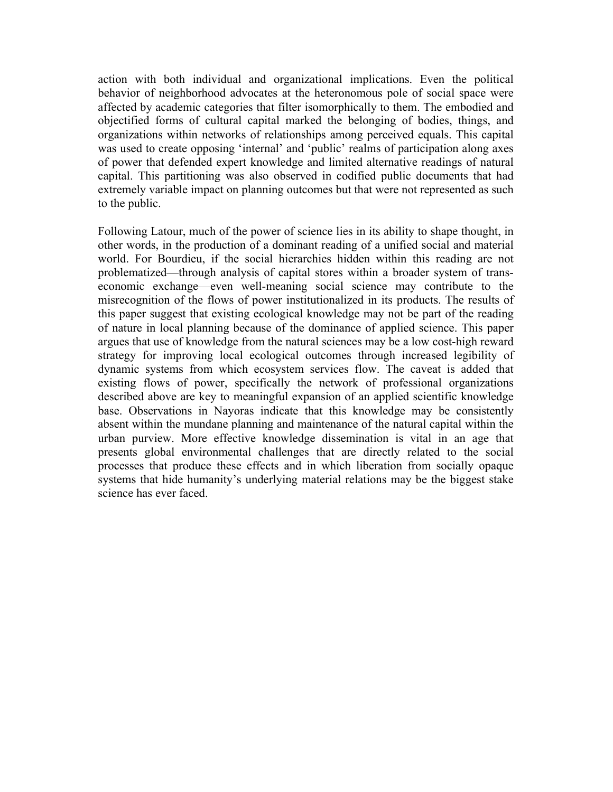action with both individual and organizational implications. Even the political behavior of neighborhood advocates at the heteronomous pole of social space were affected by academic categories that filter isomorphically to them. The embodied and objectified forms of cultural capital marked the belonging of bodies, things, and organizations within networks of relationships among perceived equals. This capital was used to create opposing 'internal' and 'public' realms of participation along axes of power that defended expert knowledge and limited alternative readings of natural capital. This partitioning was also observed in codified public documents that had extremely variable impact on planning outcomes but that were not represented as such to the public.

Following Latour, much of the power of science lies in its ability to shape thought, in other words, in the production of a dominant reading of a unified social and material world. For Bourdieu, if the social hierarchies hidden within this reading are not problematized—through analysis of capital stores within a broader system of transeconomic exchange—even well-meaning social science may contribute to the misrecognition of the flows of power institutionalized in its products. The results of this paper suggest that existing ecological knowledge may not be part of the reading of nature in local planning because of the dominance of applied science. This paper argues that use of knowledge from the natural sciences may be a low cost-high reward strategy for improving local ecological outcomes through increased legibility of dynamic systems from which ecosystem services flow. The caveat is added that existing flows of power, specifically the network of professional organizations described above are key to meaningful expansion of an applied scientific knowledge base. Observations in Nayoras indicate that this knowledge may be consistently absent within the mundane planning and maintenance of the natural capital within the urban purview. More effective knowledge dissemination is vital in an age that presents global environmental challenges that are directly related to the social processes that produce these effects and in which liberation from socially opaque systems that hide humanity's underlying material relations may be the biggest stake science has ever faced.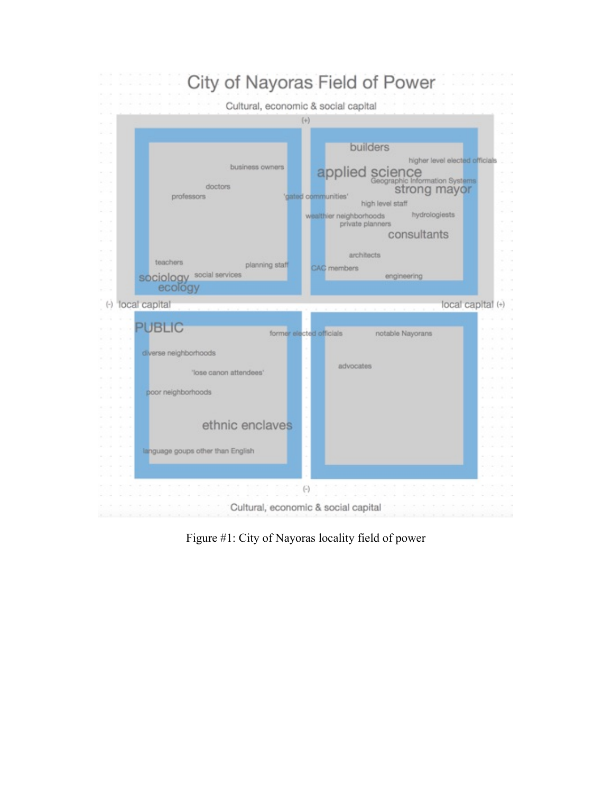

Figure #1: City of Nayoras locality field of power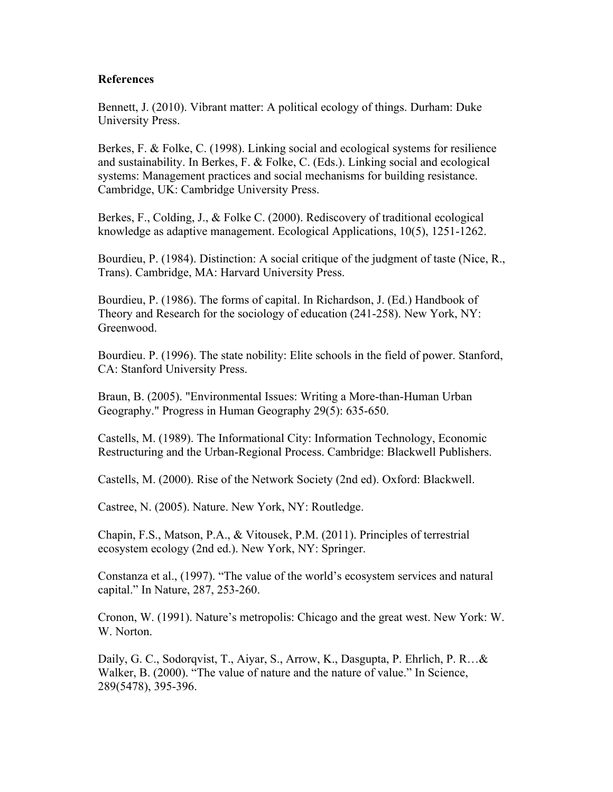#### **References**

Bennett, J. (2010). Vibrant matter: A political ecology of things. Durham: Duke University Press.

Berkes, F. & Folke, C. (1998). Linking social and ecological systems for resilience and sustainability. In Berkes, F. & Folke, C. (Eds.). Linking social and ecological systems: Management practices and social mechanisms for building resistance. Cambridge, UK: Cambridge University Press.

Berkes, F., Colding, J., & Folke C. (2000). Rediscovery of traditional ecological knowledge as adaptive management. Ecological Applications, 10(5), 1251-1262.

Bourdieu, P. (1984). Distinction: A social critique of the judgment of taste (Nice, R., Trans). Cambridge, MA: Harvard University Press.

Bourdieu, P. (1986). The forms of capital. In Richardson, J. (Ed.) Handbook of Theory and Research for the sociology of education (241-258). New York, NY: Greenwood.

Bourdieu. P. (1996). The state nobility: Elite schools in the field of power. Stanford, CA: Stanford University Press.

Braun, B. (2005). "Environmental Issues: Writing a More-than-Human Urban Geography." Progress in Human Geography 29(5): 635-650.

Castells, M. (1989). The Informational City: Information Technology, Economic Restructuring and the Urban-Regional Process. Cambridge: Blackwell Publishers.

Castells, M. (2000). Rise of the Network Society (2nd ed). Oxford: Blackwell.

Castree, N. (2005). Nature. New York, NY: Routledge.

Chapin, F.S., Matson, P.A., & Vitousek, P.M. (2011). Principles of terrestrial ecosystem ecology (2nd ed.). New York, NY: Springer.

Constanza et al., (1997). "The value of the world's ecosystem services and natural capital." In Nature, 287, 253-260.

Cronon, W. (1991). Nature's metropolis: Chicago and the great west. New York: W. W. Norton.

Daily, G. C., Sodorqvist, T., Aiyar, S., Arrow, K., Dasgupta, P. Ehrlich, P. R…& Walker, B. (2000). "The value of nature and the nature of value." In Science, 289(5478), 395-396.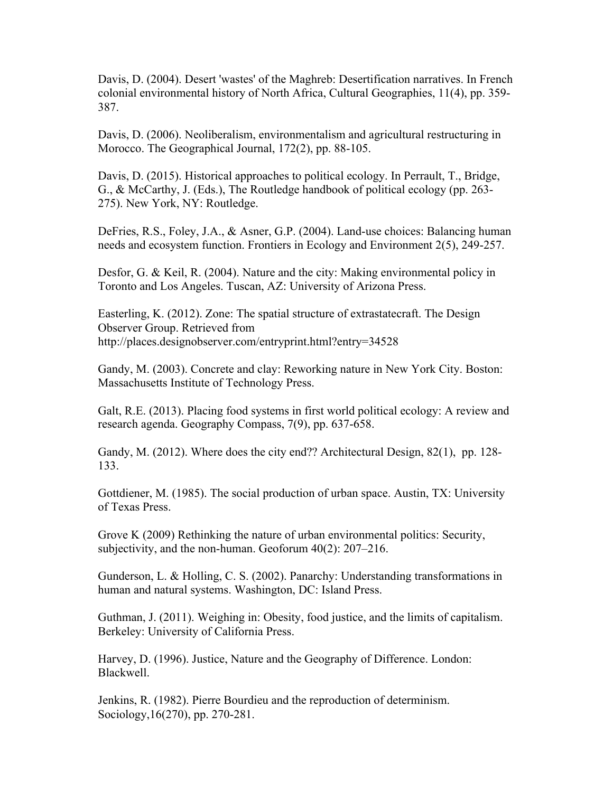Davis, D. (2004). Desert 'wastes' of the Maghreb: Desertification narratives. In French colonial environmental history of North Africa, Cultural Geographies, 11(4), pp. 359- 387.

Davis, D. (2006). Neoliberalism, environmentalism and agricultural restructuring in Morocco. The Geographical Journal, 172(2), pp. 88-105.

Davis, D. (2015). Historical approaches to political ecology. In Perrault, T., Bridge, G., & McCarthy, J. (Eds.), The Routledge handbook of political ecology (pp. 263- 275). New York, NY: Routledge.

DeFries, R.S., Foley, J.A., & Asner, G.P. (2004). Land-use choices: Balancing human needs and ecosystem function. Frontiers in Ecology and Environment 2(5), 249-257.

Desfor, G. & Keil, R. (2004). Nature and the city: Making environmental policy in Toronto and Los Angeles. Tuscan, AZ: University of Arizona Press.

Easterling, K. (2012). Zone: The spatial structure of extrastatecraft. The Design Observer Group. Retrieved from http://places.designobserver.com/entryprint.html?entry=34528

Gandy, M. (2003). Concrete and clay: Reworking nature in New York City. Boston: Massachusetts Institute of Technology Press.

Galt, R.E. (2013). Placing food systems in first world political ecology: A review and research agenda. Geography Compass, 7(9), pp. 637-658.

Gandy, M. (2012). Where does the city end?? Architectural Design, 82(1), pp. 128-133.

Gottdiener, M. (1985). The social production of urban space. Austin, TX: University of Texas Press.

Grove K (2009) Rethinking the nature of urban environmental politics: Security, subjectivity, and the non-human. Geoforum 40(2): 207–216.

Gunderson, L. & Holling, C. S. (2002). Panarchy: Understanding transformations in human and natural systems. Washington, DC: Island Press.

Guthman, J. (2011). Weighing in: Obesity, food justice, and the limits of capitalism. Berkeley: University of California Press.

Harvey, D. (1996). Justice, Nature and the Geography of Difference. London: Blackwell.

Jenkins, R. (1982). Pierre Bourdieu and the reproduction of determinism. Sociology,16(270), pp. 270-281.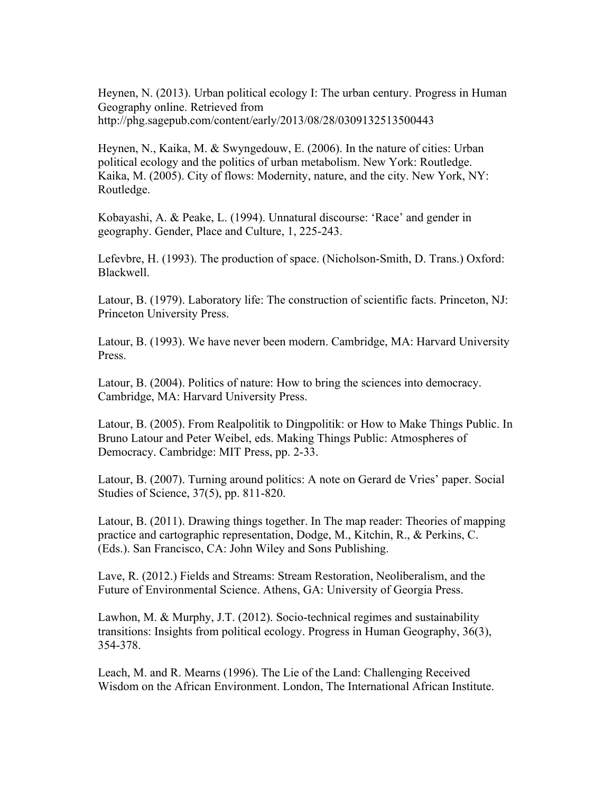Heynen, N. (2013). Urban political ecology I: The urban century. Progress in Human Geography online. Retrieved from http://phg.sagepub.com/content/early/2013/08/28/0309132513500443

Heynen, N., Kaika, M. & Swyngedouw, E. (2006). In the nature of cities: Urban political ecology and the politics of urban metabolism. New York: Routledge. Kaika, M. (2005). City of flows: Modernity, nature, and the city. New York, NY: Routledge.

Kobayashi, A. & Peake, L. (1994). Unnatural discourse: 'Race' and gender in geography. Gender, Place and Culture, 1, 225-243.

Lefevbre, H. (1993). The production of space. (Nicholson-Smith, D. Trans.) Oxford: Blackwell.

Latour, B. (1979). Laboratory life: The construction of scientific facts. Princeton, NJ: Princeton University Press.

Latour, B. (1993). We have never been modern. Cambridge, MA: Harvard University **Press**.

Latour, B. (2004). Politics of nature: How to bring the sciences into democracy. Cambridge, MA: Harvard University Press.

Latour, B. (2005). From Realpolitik to Dingpolitik: or How to Make Things Public. In Bruno Latour and Peter Weibel, eds. Making Things Public: Atmospheres of Democracy. Cambridge: MIT Press, pp. 2-33.

Latour, B. (2007). Turning around politics: A note on Gerard de Vries' paper. Social Studies of Science, 37(5), pp. 811-820.

Latour, B. (2011). Drawing things together. In The map reader: Theories of mapping practice and cartographic representation, Dodge, M., Kitchin, R., & Perkins, C. (Eds.). San Francisco, CA: John Wiley and Sons Publishing.

Lave, R. (2012.) Fields and Streams: Stream Restoration, Neoliberalism, and the Future of Environmental Science. Athens, GA: University of Georgia Press.

Lawhon, M. & Murphy, J.T. (2012). Socio-technical regimes and sustainability transitions: Insights from political ecology. Progress in Human Geography, 36(3), 354-378.

Leach, M. and R. Mearns (1996). The Lie of the Land: Challenging Received Wisdom on the African Environment. London, The International African Institute.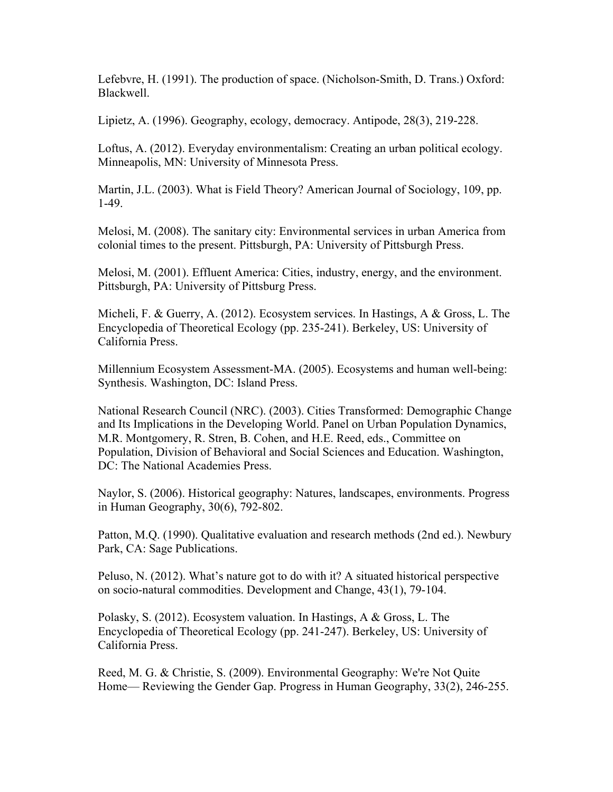Lefebvre, H. (1991). The production of space. (Nicholson-Smith, D. Trans.) Oxford: Blackwell.

Lipietz, A. (1996). Geography, ecology, democracy. Antipode, 28(3), 219-228.

Loftus, A. (2012). Everyday environmentalism: Creating an urban political ecology. Minneapolis, MN: University of Minnesota Press.

Martin, J.L. (2003). What is Field Theory? American Journal of Sociology, 109, pp. 1-49.

Melosi, M. (2008). The sanitary city: Environmental services in urban America from colonial times to the present. Pittsburgh, PA: University of Pittsburgh Press.

Melosi, M. (2001). Effluent America: Cities, industry, energy, and the environment. Pittsburgh, PA: University of Pittsburg Press.

Micheli, F. & Guerry, A. (2012). Ecosystem services. In Hastings, A & Gross, L. The Encyclopedia of Theoretical Ecology (pp. 235-241). Berkeley, US: University of California Press.

Millennium Ecosystem Assessment-MA. (2005). Ecosystems and human well-being: Synthesis. Washington, DC: Island Press.

National Research Council (NRC). (2003). Cities Transformed: Demographic Change and Its Implications in the Developing World. Panel on Urban Population Dynamics, M.R. Montgomery, R. Stren, B. Cohen, and H.E. Reed, eds., Committee on Population, Division of Behavioral and Social Sciences and Education. Washington, DC: The National Academies Press.

Naylor, S. (2006). Historical geography: Natures, landscapes, environments. Progress in Human Geography, 30(6), 792-802.

Patton, M.Q. (1990). Qualitative evaluation and research methods (2nd ed.). Newbury Park, CA: Sage Publications.

Peluso, N. (2012). What's nature got to do with it? A situated historical perspective on socio-natural commodities. Development and Change, 43(1), 79-104.

Polasky, S. (2012). Ecosystem valuation. In Hastings, A & Gross, L. The Encyclopedia of Theoretical Ecology (pp. 241-247). Berkeley, US: University of California Press.

Reed, M. G. & Christie, S. (2009). Environmental Geography: We're Not Quite Home— Reviewing the Gender Gap. Progress in Human Geography, 33(2), 246-255.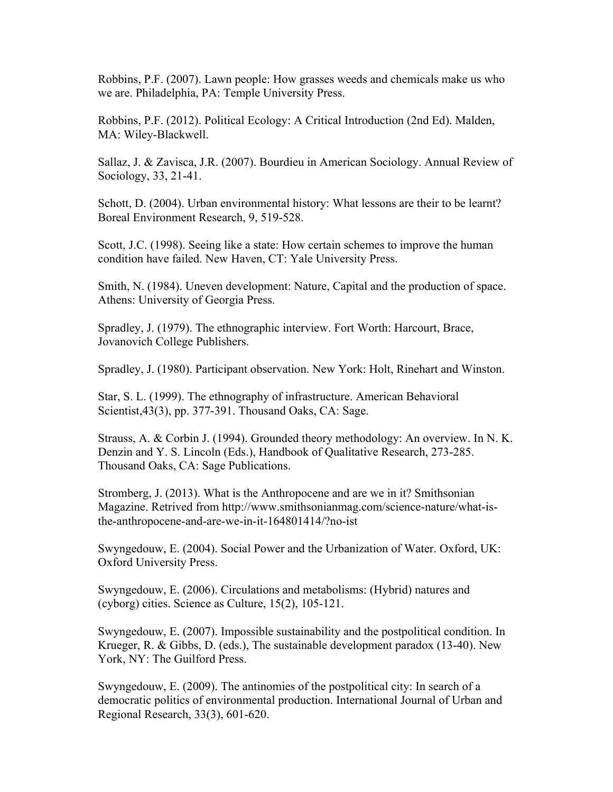Robbins, P.F. (2007). Lawn people: How grasses weeds and chemicals make us who we are. Philadelphia, PA: Temple University Press.

Robbins, P.F. (2012). Political Ecology: A Critical Introduction (2nd Ed). Malden, MA: Wiley-Blackwell.

Sallaz, J. & Zavisca, J.R. (2007). Bourdieu in American Sociology. Annual Review of Sociology, 33, 21-41.

Schott, D. (2004). Urban environmental history: What lessons are their to be learnt? Boreal Environment Research, 9, 519-528.

Scott, J.C. (1998). Seeing like a state: How certain schemes to improve the human condition have failed. New Haven, CT: Yale University Press.

Smith, N. (1984). Uneven development: Nature, Capital and the production of space. Athens: University of Georgia Press.

Spradley, J. (1979). The ethnographic interview. Fort Worth: Harcourt, Brace, Jovanovich College Publishers.

Spradley, J. (1980). Participant observation. New York: Holt, Rinehart and Winston.

Star, S. L. (1999). The ethnography of infrastructure. American Behavioral Scientist,43(3), pp. 377-391. Thousand Oaks, CA: Sage.

Strauss, A. & Corbin J. (1994). Grounded theory methodology: An overview. In N. K. Denzin and Y. S. Lincoln (Eds.), Handbook of Qualitative Research, 273-285. Thousand Oaks, CA: Sage Publications.

Stromberg, J. (2013). What is the Anthropocene and are we in it? Smithsonian Magazine. Retrived from http://www.smithsonianmag.com/science-nature/what-isthe-anthropocene-and-are-we-in-it-164801414/?no-ist

Swyngedouw, E. (2004). Social Power and the Urbanization of Water. Oxford, UK: Oxford University Press.

Swyngedouw, E. (2006). Circulations and metabolisms: (Hybrid) natures and (cyborg) cities. Science as Culture, 15(2), 105-121.

Swyngedouw, E. (2007). Impossible sustainability and the postpolitical condition. In Krueger, R. & Gibbs, D. (eds.), The sustainable development paradox (13-40). New York, NY: The Guilford Press.

Swyngedouw, E. (2009). The antinomies of the postpolitical city: In search of a democratic politics of environmental production. International Journal of Urban and Regional Research, 33(3), 601-620.